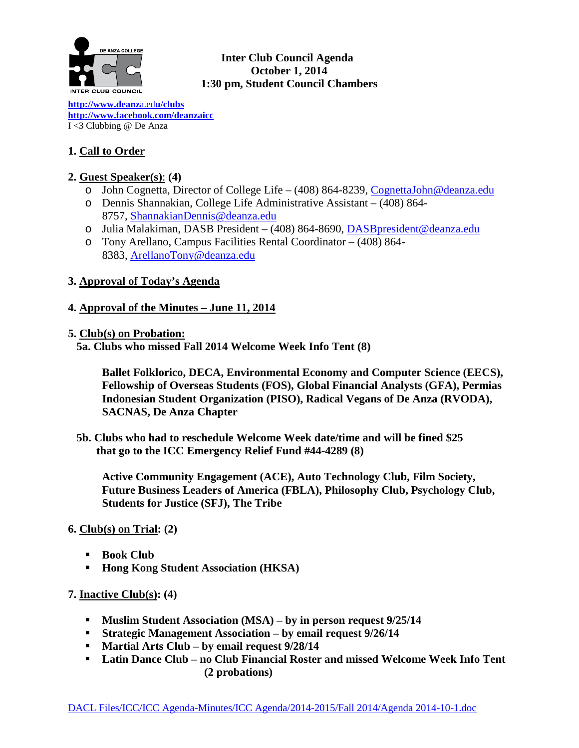

## **Inter Club Council Agenda October 1, 2014 1:30 pm, Student Council Chambers**

**[http://www.deanz](http://www.deanza.edu/clubs)**a.ed**u/clubs [http://www.facebook.com/deanzaicc](http://www.facebook.com/home.php%23!/group.php?gid=59034552686)** I <3 Clubbing @ De Anza

# **1. Call to Order**

# **2. Guest Speaker(s)**: **(4)**

- o John Cognetta, Director of College Life (408) 864-8239, [CognettaJohn@deanza.edu](mailto:CognettaJohn@deanza.edu)
- o Dennis Shannakian, College Life Administrative Assistant (408) 864- 8757, [ShannakianDennis@deanza.edu](mailto:ShannakianDennis@deanza.edu)
- o Julia Malakiman, DASB President (408) 864-8690, [DASBpresident@deanza.edu](mailto:DASBpresident@deanza.edu)
- o Tony Arellano, Campus Facilities Rental Coordinator (408) 864- 8383, [ArellanoTony@deanza.edu](mailto:ArellanoTony@deanza.edu)

## **3. Approval of Today's Agenda**

## **4. Approval of the Minutes – June 11, 2014**

### **5. Club(s) on Probation:**

 **5a. Clubs who missed Fall 2014 Welcome Week Info Tent (8)**

**Ballet Folklorico, DECA, Environmental Economy and Computer Science (EECS), Fellowship of Overseas Students (FOS), Global Financial Analysts (GFA), Permias Indonesian Student Organization (PISO), Radical Vegans of De Anza (RVODA), SACNAS, De Anza Chapter**

 **5b. Clubs who had to reschedule Welcome Week date/time and will be fined \$25 that go to the ICC Emergency Relief Fund #44-4289 (8)**

**Active Community Engagement (ACE), Auto Technology Club, Film Society, Future Business Leaders of America (FBLA), Philosophy Club, Psychology Club, Students for Justice (SFJ), The Tribe**

## **6. Club(s) on Trial: (2)**

- **Book Club**
- **Hong Kong Student Association (HKSA)**

## **7. Inactive Club(s): (4)**

- **Muslim Student Association (MSA) – by in person request 9/25/14**
- **Strategic Management Association – by email request 9/26/14**
- **Martial Arts Club – by email request 9/28/14**
- **Latin Dance Club – no Club Financial Roster and missed Welcome Week Info Tent (2 probations)**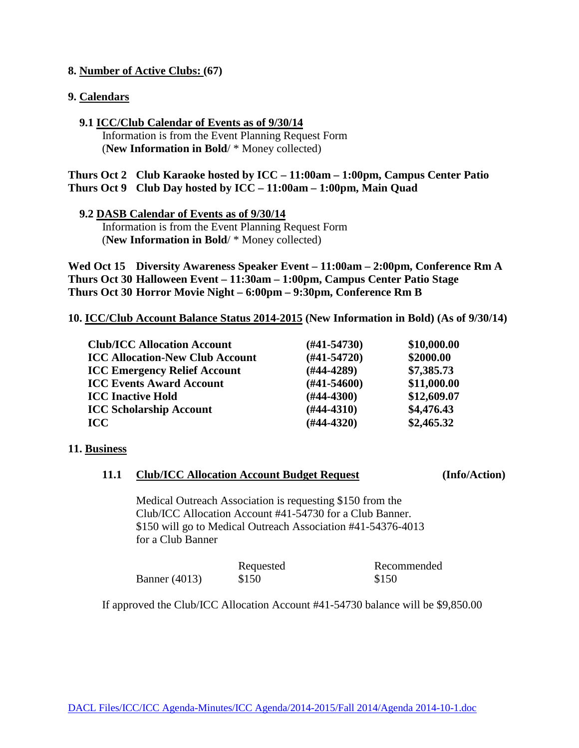### **8. Number of Active Clubs: (67)**

#### **9. Calendars**

 **9.1 ICC/Club Calendar of Events as of 9/30/14** Information is from the Event Planning Request Form (**New Information in Bold**/ \* Money collected)

**Thurs Oct 2 Club Karaoke hosted by ICC – 11:00am – 1:00pm, Campus Center Patio Thurs Oct 9 Club Day hosted by ICC – 11:00am – 1:00pm, Main Quad**

#### **9.2 DASB Calendar of Events as of 9/30/14**

 Information is from the Event Planning Request Form (**New Information in Bold**/ \* Money collected)

**Wed Oct 15 Diversity Awareness Speaker Event – 11:00am – 2:00pm, Conference Rm A Thurs Oct 30 Halloween Event – 11:30am – 1:00pm, Campus Center Patio Stage Thurs Oct 30 Horror Movie Night – 6:00pm – 9:30pm, Conference Rm B**

**10. ICC/Club Account Balance Status 2014-2015 (New Information in Bold) (As of 9/30/14)**

| <b>Club/ICC Allocation Account</b>     | $(\#41 - 54730)$ | \$10,000.00 |
|----------------------------------------|------------------|-------------|
| <b>ICC Allocation-New Club Account</b> | $(#41-54720)$    | \$2000.00   |
| <b>ICC Emergency Relief Account</b>    | $(H44-4289)$     | \$7,385.73  |
| <b>ICC Events Award Account</b>        | $(H41-54600)$    | \$11,000.00 |
| <b>ICC Inactive Hold</b>               | $(\#44-4300)$    | \$12,609.07 |
| <b>ICC Scholarship Account</b>         | $(H44-4310)$     | \$4,476.43  |
| <b>ICC</b>                             | $(H44-4320)$     | \$2,465.32  |

#### **11. Business**

#### **11.1 Club/ICC Allocation Account Budget Request (Info/Action)**

Medical Outreach Association is requesting \$150 from the Club/ICC Allocation Account #41-54730 for a Club Banner. \$150 will go to Medical Outreach Association #41-54376-4013 for a Club Banner

|                      | Requested | Recommended |
|----------------------|-----------|-------------|
| <b>Banner</b> (4013) | \$150     | \$150       |

If approved the Club/ICC Allocation Account #41-54730 balance will be \$9,850.00